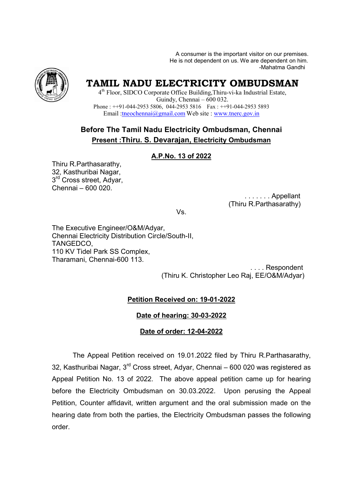A consumer is the important visitor on our premises. .He is not dependent on us. We are dependent on him<br>Mahatma Gandhi-



# **TAMIL NADU ELECTRICITY OMBUDSMAN**

4<sup>th</sup> Floor, SIDCO Corporate Office Building, Thiru-vi-ka Industrial Estate, Phone : ++91-044-2953 5806, 044-2953 5816 Fax : ++91-044-2953 5893 Email :*tneochennai@gmail.com* Web site : www.tnerc.gov.in Guindy, Chennai – 600 032.

# **Before The Tamil Nadu Electricity Ombudsman, Ombudsman, Chennai Present :Thiru. S. Devarajan, Electricity Ombudsman**

#### **A.P.No. 13 of 2022**

Thiru R.Parthasarathy, 32, Kasthuribai Nagar, 3<sup>rd</sup> Cross street, Adyar, Chennai – 600 020.

 . . . . . . . Appellant (Thiru R.Parthasarathy Thiru R.Parthasarathy)

Vs.

The Executive Engineer/O&M/Adyar, Chennai Electricity Distribution Circle/South Circle/South-II, TANGEDCO, 110 KV Tidel Park SS Complex, Tharamani, Chennai-600 113. 600

(Thiru K. Christopher Leo Raj, EE/O&M/Adyar) . . . . Respondent

### **Petition Received on: 19-01-2022**

**Date of hearing: 30-03-2022**

#### **Date of order: 12-04-2022**

The Appeal Petition Petition received on 19.01.2022 filed by Thiru R.Parthasarathy, 32, Kasthuribai Nagar, 3<sup>rd</sup> Cross street, Adyar, Chennai – 600 020 was registered as Appeal Petition No. 13 of 2022. The above appeal petition came up for hearing before the Electricity Ombudsman on 30.03.2022. Upon perusing the Appeal Petition, Counter affidavit, written argument and the oral submission made on the Appeal Petition No. 13 of 2022. The above appeal petition came up for hearing<br>before the Electricity Ombudsman on 30.03.2022. Upon perusing the Appeal<br>Petition, Counter affidavit, written argument and the oral submission m order.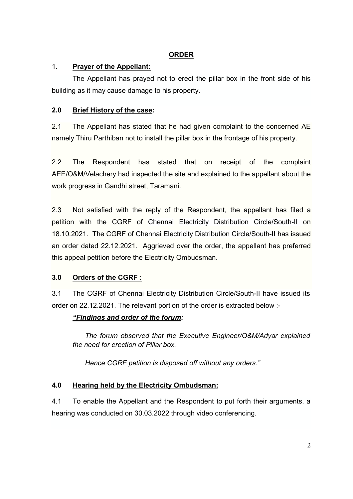### **ORDER**

### 1. **Prayer of the Appellant:**

The Appellant has prayed not to erect the pillar box in the front side of his building as it may cause damage to his property.

# **2.0 Brief History of the case:**

2.1 The Appellant has stated that he had given complaint to the concerned AE namely Thiru Parthiban not to install the pillar box in the frontage of his property.

2.2 The Respondent has stated that on receipt of the complaint AEE/O&M/Velachery had inspected the site and explained to the appellant about the work progress in Gandhi street, Taramani.

2.3 Not satisfied with the reply of the Respondent, the appellant has filed a petition with the CGRF of Chennai Electricity Distribution Circle/South-II on 18.10.2021. The CGRF of Chennai Electricity Distribution Circle/South-II has issued an order dated 22.12.2021. Aggrieved over the order, the appellant has preferred this appeal petition before the Electricity Ombudsman.

## **3.0 Orders of the CGRF :**

3.1 The CGRF of Chennai Electricity Distribution Circle/South-II have issued its order on 22.12.2021. The relevant portion of the order is extracted below :-

## *"Findings and order of the forum:*

*The forum observed that the Executive Engineer/O&M/Adyar explained the need for erection of Pillar box.* 

*Hence CGRF petition is disposed off without any orders."* 

## **4.0 Hearing held by the Electricity Ombudsman:**

4.1 To enable the Appellant and the Respondent to put forth their arguments, a hearing was conducted on 30.03.2022 through video conferencing.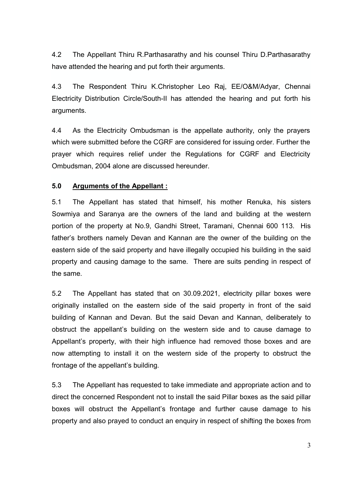4.2 The Appellant Thiru R.Parthasarathy and his counsel Thiru D.Parthasarathy have attended the hearing and put forth their arguments.

4.3 The Respondent Thiru K.Christopher Leo Raj, EE/O&M/Adyar, Chennai Electricity Distribution Circle/South-II has attended the hearing and put forth his arguments.

4.4 As the Electricity Ombudsman is the appellate authority, only the prayers which were submitted before the CGRF are considered for issuing order. Further the prayer which requires relief under the Regulations for CGRF and Electricity Ombudsman, 2004 alone are discussed hereunder.

#### **5.0 Arguments of the Appellant :**

5.1 The Appellant has stated that himself, his mother Renuka, his sisters Sowmiya and Saranya are the owners of the land and building at the western portion of the property at No.9, Gandhi Street, Taramani, Chennai 600 113. His father's brothers namely Devan and Kannan are the owner of the building on the eastern side of the said property and have illegally occupied his building in the said property and causing damage to the same. There are suits pending in respect of the same.

5.2 The Appellant has stated that on 30.09.2021, electricity pillar boxes were originally installed on the eastern side of the said property in front of the said building of Kannan and Devan. But the said Devan and Kannan, deliberately to obstruct the appellant's building on the western side and to cause damage to Appellant's property, with their high influence had removed those boxes and are now attempting to install it on the western side of the property to obstruct the frontage of the appellant's building.

5.3 The Appellant has requested to take immediate and appropriate action and to direct the concerned Respondent not to install the said Pillar boxes as the said pillar boxes will obstruct the Appellant's frontage and further cause damage to his property and also prayed to conduct an enquiry in respect of shifting the boxes from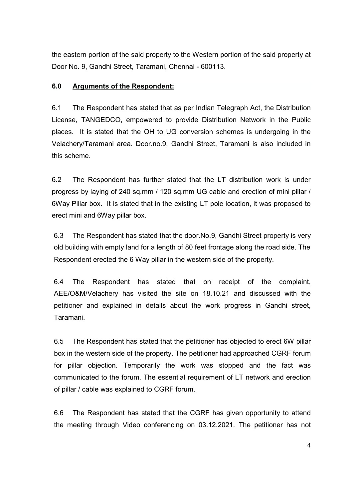the eastern portion of the said property to the Western portion of the said property at Door No. 9, Gandhi Street, Taramani, Chennai - 600113.

#### **6.0 Arguments of the Respondent:**

6.1 The Respondent has stated that as per Indian Telegraph Act, the Distribution License, TANGEDCO, empowered to provide Distribution Network in the Public places. It is stated that the OH to UG conversion schemes is undergoing in the Velachery/Taramani area. Door.no.9, Gandhi Street, Taramani is also included in this scheme.

6.2 The Respondent has further stated that the LT distribution work is under progress by laying of 240 sq.mm / 120 sq.mm UG cable and erection of mini pillar / 6Way Pillar box. It is stated that in the existing LT pole location, it was proposed to erect mini and 6Way pillar box.

6.3 The Respondent has stated that the door.No.9, Gandhi Street property is very old building with empty land for a length of 80 feet frontage along the road side. The Respondent erected the 6 Way pillar in the western side of the property.

6.4 The Respondent has stated that on receipt of the complaint, AEE/O&M/Velachery has visited the site on 18.10.21 and discussed with the petitioner and explained in details about the work progress in Gandhi street, Taramani.

6.5 The Respondent has stated that the petitioner has objected to erect 6W pillar box in the western side of the property. The petitioner had approached CGRF forum for pillar objection. Temporarily the work was stopped and the fact was communicated to the forum. The essential requirement of LT network and erection of pillar / cable was explained to CGRF forum.

6.6 The Respondent has stated that the CGRF has given opportunity to attend the meeting through Video conferencing on 03.12.2021. The petitioner has not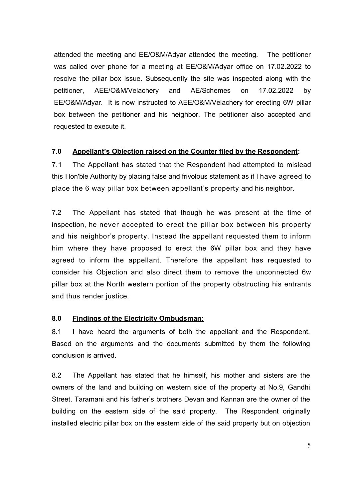attended the meeting and EE/O&M/Adyar attended the meeting. The petitioner was called over phone for a meeting at EE/O&M/Adyar office on 17.02.2022 to resolve the pillar box issue. Subsequently the site was inspected along with the petitioner, AEE/O&M/Velachery and AE/Schemes on 17.02.2022 by EE/O&M/Adyar. It is now instructed to AEE/O&M/Velachery for erecting 6W pillar box between the petitioner and his neighbor. The petitioner also accepted and requested to execute it.

#### **7.0 Appellant's Objection raised on the Counter filed by the Respondent:**

7.1 The Appellant has stated that the Respondent had attempted to mislead this Hon'ble Authority by placing false and frivolous statement as if I have agreed to place the 6 way pillar box between appellant's property and his neighbor.

7.2 The Appellant has stated that though he was present at the time of inspection, he never accepted to erect the pillar box between his property and his neighbor's property. Instead the appellant requested them to inform him where they have proposed to erect the 6W pillar box and they have agreed to inform the appellant. Therefore the appellant has requested to consider his Objection and also direct them to remove the unconnected 6w pillar box at the North western portion of the property obstructing his entrants and thus render justice.

### **8.0 Findings of the Electricity Ombudsman:**

8.1 I have heard the arguments of both the appellant and the Respondent. Based on the arguments and the documents submitted by them the following conclusion is arrived.

8.2 The Appellant has stated that he himself, his mother and sisters are the owners of the land and building on western side of the property at No.9, Gandhi Street, Taramani and his father's brothers Devan and Kannan are the owner of the building on the eastern side of the said property. The Respondent originally installed electric pillar box on the eastern side of the said property but on objection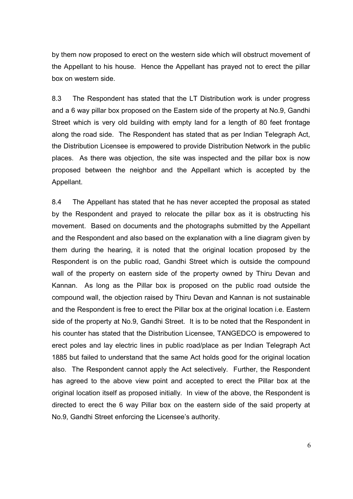by them now proposed to erect on the western side which will obstruct movement of the Appellant to his house. Hence the Appellant has prayed not to erect the pillar box on western side.

8.3 The Respondent has stated that the LT Distribution work is under progress and a 6 way pillar box proposed on the Eastern side of the property at No.9, Gandhi Street which is very old building with empty land for a length of 80 feet frontage along the road side. The Respondent has stated that as per Indian Telegraph Act, the Distribution Licensee is empowered to provide Distribution Network in the public places. As there was objection, the site was inspected and the pillar box is now proposed between the neighbor and the Appellant which is accepted by the Appellant.

8.4 The Appellant has stated that he has never accepted the proposal as stated by the Respondent and prayed to relocate the pillar box as it is obstructing his movement. Based on documents and the photographs submitted by the Appellant and the Respondent and also based on the explanation with a line diagram given by them during the hearing, it is noted that the original location proposed by the Respondent is on the public road, Gandhi Street which is outside the compound wall of the property on eastern side of the property owned by Thiru Devan and Kannan. As long as the Pillar box is proposed on the public road outside the compound wall, the objection raised by Thiru Devan and Kannan is not sustainable and the Respondent is free to erect the Pillar box at the original location i.e. Eastern side of the property at No.9, Gandhi Street. It is to be noted that the Respondent in his counter has stated that the Distribution Licensee, TANGEDCO is empowered to erect poles and lay electric lines in public road/place as per Indian Telegraph Act 1885 but failed to understand that the same Act holds good for the original location also. The Respondent cannot apply the Act selectively. Further, the Respondent has agreed to the above view point and accepted to erect the Pillar box at the original location itself as proposed initially. In view of the above, the Respondent is directed to erect the 6 way Pillar box on the eastern side of the said property at No.9, Gandhi Street enforcing the Licensee's authority.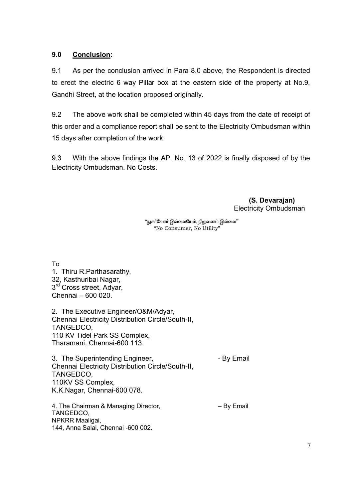#### **9.0 Conclusion:**

9.1 As per the conclusion arrived in Para 8.0 above, the Respondent is directed to erect the electric 6 way Pillar box at the eastern side of the property at No.9, Gandhi Street, at the location proposed originally.

9.2 The above work shall be completed within 45 days from the date of receipt of this order and a compliance report shall be sent to the Electricity Ombudsman within 15 days after completion of the work.

9.3 With the above findings the AP. No. 13 of 2022 is finally disposed of by the Electricity Ombudsman. No Costs.

> **(S. Devarajan)**  Electricity Ombudsman

"நுகா்வோா் இல்லையேல், <u>நிறு</u>வனம் இல்லை" "No Consumer, No Utility"

To 1. Thiru R.Parthasarathy, 32, Kasthuribai Nagar, 3<sup>rd</sup> Cross street, Adyar, Chennai – 600 020.

2. The Executive Engineer/O&M/Adyar, Chennai Electricity Distribution Circle/South-II, TANGEDCO, 110 KV Tidel Park SS Complex, Tharamani, Chennai-600 113.

3. The Superintending Engineer, The Superintending Engineer, Chennai Electricity Distribution Circle/South-II, TANGEDCO, 110KV SS Complex, K.K.Nagar, Chennai-600 078.

4. The Chairman & Managing Director,  $-$  By Email TANGEDCO, NPKRR Maaligai, 144, Anna Salai, Chennai -600 002.